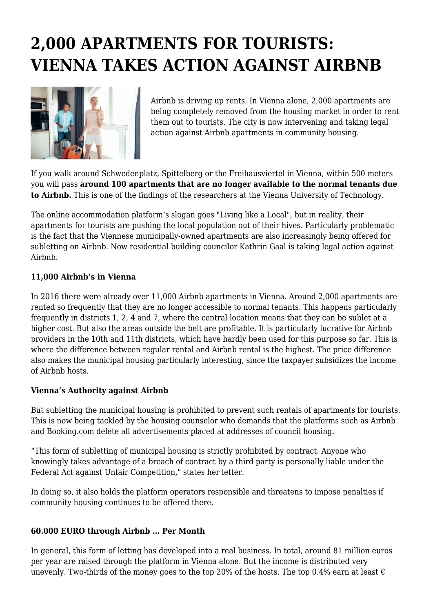## **2,000 APARTMENTS FOR TOURISTS: VIENNA TAKES ACTION AGAINST AIRBNB**



Airbnb is driving up rents. In Vienna alone, 2,000 apartments are being completely removed from the housing market in order to rent them out to tourists. The city is now intervening and taking legal action against Airbnb apartments in community housing.

If you walk around Schwedenplatz, Spittelberg or the Freihausviertel in Vienna, within 500 meters you will pass **around 100 apartments that are no longer available to the normal tenants due to Airbnb.** This is one of the findings of the researchers at the Vienna University of Technology.

The online accommodation platform's slogan goes "Living like a Local", but in reality, their apartments for tourists are pushing the local population out of their hives. Particularly problematic is the fact that the Viennese municipally-owned apartments are also increasingly being offered for subletting on Airbnb. Now residential building councilor Kathrin Gaal is taking legal action against Airbnb.

## **11,000 Airbnb's in Vienna**

In 2016 there were already over 11,000 Airbnb apartments in Vienna. Around 2,000 apartments are rented so frequently that they are no longer accessible to normal tenants. This happens particularly frequently in districts 1, 2, 4 and 7, where the central location means that they can be sublet at a higher cost. But also the areas outside the belt are profitable. It is particularly lucrative for Airbnb providers in the 10th and 11th districts, which have hardly been used for this purpose so far. This is where the difference between regular rental and Airbnb rental is the highest. The price difference also makes the municipal housing particularly interesting, since the taxpayer subsidizes the income of Airbnb hosts.

## **Vienna's Authority against Airbnb**

But subletting the municipal housing is prohibited to prevent such rentals of apartments for tourists. This is now being tackled by the housing counselor who demands that the platforms such as Airbnb and Booking.com delete all advertisements placed at addresses of council housing.

"This form of subletting of municipal housing is strictly prohibited by contract. Anyone who knowingly takes advantage of a breach of contract by a third party is personally liable under the Federal Act against Unfair Competition," states her letter.

In doing so, it also holds the platform operators responsible and threatens to impose penalties if community housing continues to be offered there.

## **60.000 EURO through Airbnb … Per Month**

In general, this form of letting has developed into a real business. In total, around 81 million euros per year are raised through the platform in Vienna alone. But the income is distributed very unevenly. Two-thirds of the money goes to the top 20% of the hosts. The top 0.4% earn at least  $\epsilon$